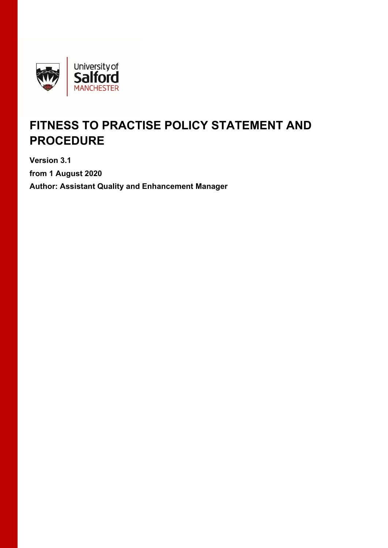

# **FITNESS TO PRACTISE POLICY STATEMENT AND PROCEDURE**

**Version 3.1 from 1 August 2020 Author: Assistant Quality and Enhancement Manager**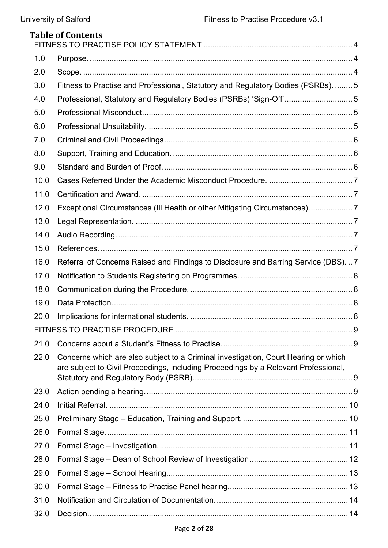|      | <b>Table of Contents</b>                                                                                                                                                   |  |
|------|----------------------------------------------------------------------------------------------------------------------------------------------------------------------------|--|
| 1.0  |                                                                                                                                                                            |  |
| 2.0  |                                                                                                                                                                            |  |
| 3.0  | Fitness to Practise and Professional, Statutory and Regulatory Bodies (PSRBs).  5                                                                                          |  |
| 4.0  | Professional, Statutory and Regulatory Bodies (PSRBs) 'Sign-Off'5                                                                                                          |  |
| 5.0  |                                                                                                                                                                            |  |
| 6.0  |                                                                                                                                                                            |  |
| 7.0  |                                                                                                                                                                            |  |
| 8.0  |                                                                                                                                                                            |  |
| 9.0  |                                                                                                                                                                            |  |
| 10.0 |                                                                                                                                                                            |  |
| 11.0 |                                                                                                                                                                            |  |
| 12.0 | Exceptional Circumstances (III Health or other Mitigating Circumstances)7                                                                                                  |  |
| 13.0 |                                                                                                                                                                            |  |
| 14.0 |                                                                                                                                                                            |  |
| 15.0 |                                                                                                                                                                            |  |
| 16.0 | Referral of Concerns Raised and Findings to Disclosure and Barring Service (DBS).  7                                                                                       |  |
| 17.0 |                                                                                                                                                                            |  |
| 18.0 |                                                                                                                                                                            |  |
| 19.0 |                                                                                                                                                                            |  |
| 20.0 |                                                                                                                                                                            |  |
|      |                                                                                                                                                                            |  |
| 21.0 |                                                                                                                                                                            |  |
| 22.0 | Concerns which are also subject to a Criminal investigation, Court Hearing or which<br>are subject to Civil Proceedings, including Proceedings by a Relevant Professional, |  |
| 23.0 |                                                                                                                                                                            |  |
| 24.0 |                                                                                                                                                                            |  |
| 25.0 |                                                                                                                                                                            |  |
| 26.0 |                                                                                                                                                                            |  |
| 27.0 |                                                                                                                                                                            |  |
| 28.0 |                                                                                                                                                                            |  |
| 29.0 |                                                                                                                                                                            |  |
| 30.0 |                                                                                                                                                                            |  |
| 31.0 |                                                                                                                                                                            |  |
| 32.0 |                                                                                                                                                                            |  |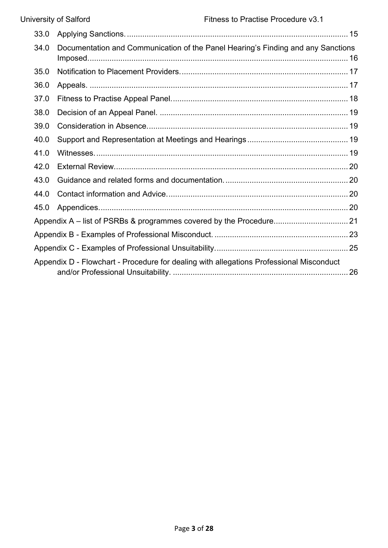| 33.0 |                                                                                         |  |
|------|-----------------------------------------------------------------------------------------|--|
| 34.0 | Documentation and Communication of the Panel Hearing's Finding and any Sanctions        |  |
| 35.0 |                                                                                         |  |
| 36.0 |                                                                                         |  |
| 37.0 |                                                                                         |  |
| 38.0 |                                                                                         |  |
| 39.0 |                                                                                         |  |
| 40.0 |                                                                                         |  |
| 41.0 |                                                                                         |  |
| 42.0 |                                                                                         |  |
| 43.0 |                                                                                         |  |
| 44.0 |                                                                                         |  |
| 45.0 |                                                                                         |  |
|      |                                                                                         |  |
|      |                                                                                         |  |
|      |                                                                                         |  |
|      | Appendix D - Flowchart - Procedure for dealing with allegations Professional Misconduct |  |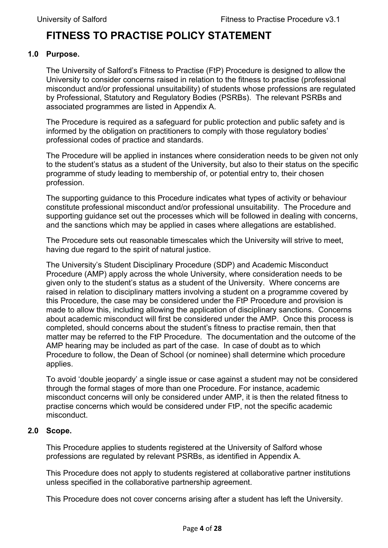# <span id="page-3-0"></span>**FITNESS TO PRACTISE POLICY STATEMENT**

#### **1.0 Purpose.**

<span id="page-3-1"></span>The University of Salford's Fitness to Practise (FtP) Procedure is designed to allow the University to consider concerns raised in relation to the fitness to practise (professional misconduct and/or professional unsuitability) of students whose professions are regulated by Professional, Statutory and Regulatory Bodies (PSRBs). The relevant PSRBs and associated programmes are listed in Appendix A.

The Procedure is required as a safeguard for public protection and public safety and is informed by the obligation on practitioners to comply with those regulatory bodies' professional codes of practice and standards.

The Procedure will be applied in instances where consideration needs to be given not only to the student's status as a student of the University, but also to their status on the specific programme of study leading to membership of, or potential entry to, their chosen profession.

The supporting guidance to this Procedure indicates what types of activity or behaviour constitute professional misconduct and/or professional unsuitability. The Procedure and supporting guidance set out the processes which will be followed in dealing with concerns, and the sanctions which may be applied in cases where allegations are established.

The Procedure sets out reasonable timescales which the University will strive to meet, having due regard to the spirit of natural justice.

The University's Student Disciplinary Procedure (SDP) and Academic Misconduct Procedure (AMP) apply across the whole University, where consideration needs to be given only to the student's status as a student of the University. Where concerns are raised in relation to disciplinary matters involving a student on a programme covered by this Procedure, the case may be considered under the FtP Procedure and provision is made to allow this, including allowing the application of disciplinary sanctions. Concerns about academic misconduct will first be considered under the AMP. Once this process is completed, should concerns about the student's fitness to practise remain, then that matter may be referred to the FtP Procedure. The documentation and the outcome of the AMP hearing may be included as part of the case. In case of doubt as to which Procedure to follow, the Dean of School (or nominee) shall determine which procedure applies.

To avoid 'double jeopardy' a single issue or case against a student may not be considered through the formal stages of more than one Procedure. For instance, academic misconduct concerns will only be considered under AMP, it is then the related fitness to practise concerns which would be considered under FtP, not the specific academic misconduct.

# **2.0 Scope.**

<span id="page-3-2"></span>This Procedure applies to students registered at the University of Salford whose professions are regulated by relevant PSRBs, as identified in Appendix A.

This Procedure does not apply to students registered at collaborative partner institutions unless specified in the collaborative partnership agreement.

This Procedure does not cover concerns arising after a student has left the University.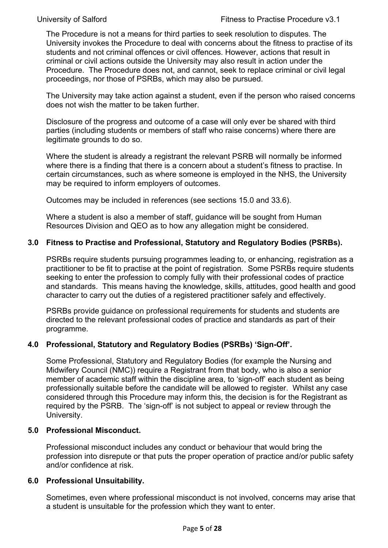The Procedure is not a means for third parties to seek resolution to disputes. The University invokes the Procedure to deal with concerns about the fitness to practise of its students and not criminal offences or civil offences. However, actions that result in criminal or civil actions outside the University may also result in action under the Procedure. The Procedure does not, and cannot, seek to replace criminal or civil legal proceedings, nor those of PSRBs, which may also be pursued.

The University may take action against a student, even if the person who raised concerns does not wish the matter to be taken further.

Disclosure of the progress and outcome of a case will only ever be shared with third parties (including students or members of staff who raise concerns) where there are legitimate grounds to do so.

Where the student is already a registrant the relevant PSRB will normally be informed where there is a finding that there is a concern about a student's fitness to practise. In certain circumstances, such as where someone is employed in the NHS, the University may be required to inform employers of outcomes.

Outcomes may be included in references (see sections 15.0 and 33.6).

Where a student is also a member of staff, guidance will be sought from Human Resources Division and QEO as to how any allegation might be considered.

# **3.0 Fitness to Practise and Professional, Statutory and Regulatory Bodies (PSRBs).**

<span id="page-4-0"></span>PSRBs require students pursuing programmes leading to, or enhancing, registration as a practitioner to be fit to practise at the point of registration. Some PSRBs require students seeking to enter the profession to comply fully with their professional codes of practice and standards. This means having the knowledge, skills, attitudes, good health and good character to carry out the duties of a registered practitioner safely and effectively.

PSRBs provide guidance on professional requirements for students and students are directed to the relevant professional codes of practice and standards as part of their programme.

# **4.0 Professional, Statutory and Regulatory Bodies (PSRBs) 'Sign-Off'.**

<span id="page-4-1"></span>Some Professional, Statutory and Regulatory Bodies (for example the Nursing and Midwifery Council (NMC)) require a Registrant from that body, who is also a senior member of academic staff within the discipline area, to 'sign-off' each student as being professionally suitable before the candidate will be allowed to register. Whilst any case considered through this Procedure may inform this, the decision is for the Registrant as required by the PSRB. The 'sign-off' is not subject to appeal or review through the University.

# **5.0 Professional Misconduct.**

<span id="page-4-2"></span>Professional misconduct includes any conduct or behaviour that would bring the profession into disrepute or that puts the proper operation of practice and/or public safety and/or confidence at risk.

# **6.0 Professional Unsuitability.**

<span id="page-4-3"></span>Sometimes, even where professional misconduct is not involved, concerns may arise that a student is unsuitable for the profession which they want to enter.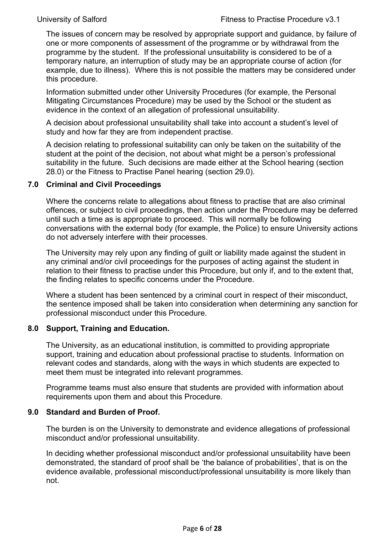The issues of concern may be resolved by appropriate support and guidance, by failure of one or more components of assessment of the programme or by withdrawal from the programme by the student. If the professional unsuitability is considered to be of a temporary nature, an interruption of study may be an appropriate course of action (for example, due to illness). Where this is not possible the matters may be considered under this procedure.

Information submitted under other University Procedures (for example, the Personal Mitigating Circumstances Procedure) may be used by the School or the student as evidence in the context of an allegation of professional unsuitability.

A decision about professional unsuitability shall take into account a student's level of study and how far they are from independent practise.

A decision relating to professional suitability can only be taken on the suitability of the student at the point of the decision, not about what might be a person's professional suitability in the future. Such decisions are made either at the School hearing (section 28.0) or the Fitness to Practise Panel hearing (section 29.0).

# <span id="page-5-0"></span>**7.0 Criminal and Civil Proceedings**

Where the concerns relate to allegations about fitness to practise that are also criminal offences, or subject to civil proceedings, then action under the Procedure may be deferred until such a time as is appropriate to proceed. This will normally be following conversations with the external body (for example, the Police) to ensure University actions do not adversely interfere with their processes.

The University may rely upon any finding of guilt or liability made against the student in any criminal and/or civil proceedings for the purposes of acting against the student in relation to their fitness to practise under this Procedure, but only if, and to the extent that, the finding relates to specific concerns under the Procedure.

Where a student has been sentenced by a criminal court in respect of their misconduct, the sentence imposed shall be taken into consideration when determining any sanction for professional misconduct under this Procedure.

#### **8.0 Support, Training and Education.**

<span id="page-5-1"></span>The University, as an educational institution, is committed to providing appropriate support, training and education about professional practise to students. Information on relevant codes and standards, along with the ways in which students are expected to meet them must be integrated into relevant programmes.

Programme teams must also ensure that students are provided with information about requirements upon them and about this Procedure.

#### <span id="page-5-2"></span>**9.0 Standard and Burden of Proof.**

The burden is on the University to demonstrate and evidence allegations of professional misconduct and/or professional unsuitability.

In deciding whether professional misconduct and/or professional unsuitability have been demonstrated, the standard of proof shall be 'the balance of probabilities', that is on the evidence available, professional misconduct/professional unsuitability is more likely than not.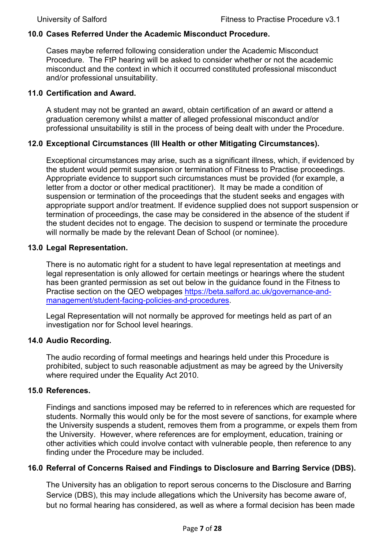# <span id="page-6-0"></span>**10.0 Cases Referred Under the Academic Misconduct Procedure.**

Cases maybe referred following consideration under the Academic Misconduct Procedure. The FtP hearing will be asked to consider whether or not the academic misconduct and the context in which it occurred constituted professional misconduct and/or professional unsuitability.

#### <span id="page-6-1"></span>**11.0 Certification and Award.**

A student may not be granted an award, obtain certification of an award or attend a graduation ceremony whilst a matter of alleged professional misconduct and/or professional unsuitability is still in the process of being dealt with under the Procedure.

# **12.0 Exceptional Circumstances (Ill Health or other Mitigating Circumstances).**

<span id="page-6-2"></span>Exceptional circumstances may arise, such as a significant illness, which, if evidenced by the student would permit suspension or termination of Fitness to Practise proceedings. Appropriate evidence to support such circumstances must be provided (for example, a letter from a doctor or other medical practitioner). It may be made a condition of suspension or termination of the proceedings that the student seeks and engages with appropriate support and/or treatment. If evidence supplied does not support suspension or termination of proceedings, the case may be considered in the absence of the student if the student decides not to engage. The decision to suspend or terminate the procedure will normally be made by the relevant Dean of School (or nominee).

#### <span id="page-6-3"></span>**13.0 Legal Representation.**

There is no automatic right for a student to have legal representation at meetings and legal representation is only allowed for certain meetings or hearings where the student has been granted permission as set out below in the guidance found in the Fitness to Practise section on the QEO webpages [https://beta.salford.ac.uk/governance-and](https://beta.salford.ac.uk/governance-and-management/student-facing-policies-and-procedures)[management/student-facing-policies-and-procedures.](https://beta.salford.ac.uk/governance-and-management/student-facing-policies-and-procedures)

Legal Representation will not normally be approved for meetings held as part of an investigation nor for School level hearings.

#### <span id="page-6-4"></span>**14.0 Audio Recording.**

The audio recording of formal meetings and hearings held under this Procedure is prohibited, subject to such reasonable adjustment as may be agreed by the University where required under the Equality Act 2010.

#### <span id="page-6-5"></span>**15.0 References.**

Findings and sanctions imposed may be referred to in references which are requested for students. Normally this would only be for the most severe of sanctions, for example where the University suspends a student, removes them from a programme, or expels them from the University. However, where references are for employment, education, training or other activities which could involve contact with vulnerable people, then reference to any finding under the Procedure may be included.

#### <span id="page-6-6"></span>**16.0 Referral of Concerns Raised and Findings to Disclosure and Barring Service (DBS).**

The University has an obligation to report serous concerns to the Disclosure and Barring Service (DBS), this may include allegations which the University has become aware of, but no formal hearing has considered, as well as where a formal decision has been made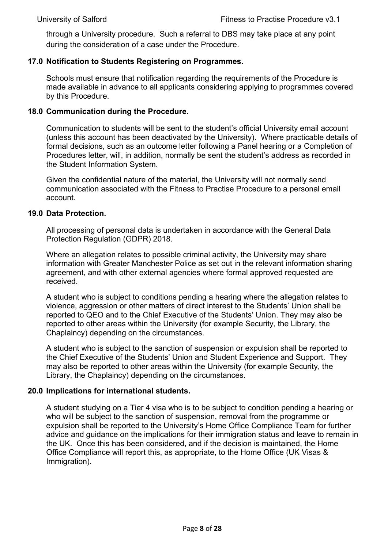through a University procedure. Such a referral to DBS may take place at any point during the consideration of a case under the Procedure.

#### <span id="page-7-0"></span>**17.0 Notification to Students Registering on Programmes.**

Schools must ensure that notification regarding the requirements of the Procedure is made available in advance to all applicants considering applying to programmes covered by this Procedure.

#### <span id="page-7-1"></span>**18.0 Communication during the Procedure.**

Communication to students will be sent to the student's official University email account (unless this account has been deactivated by the University). Where practicable details of formal decisions, such as an outcome letter following a Panel hearing or a Completion of Procedures letter, will, in addition, normally be sent the student's address as recorded in the Student Information System.

Given the confidential nature of the material, the University will not normally send communication associated with the Fitness to Practise Procedure to a personal email account.

#### <span id="page-7-2"></span>**19.0 Data Protection.**

All processing of personal data is undertaken in accordance with the General Data Protection Regulation (GDPR) 2018.

Where an allegation relates to possible criminal activity, the University may share information with Greater Manchester Police as set out in the relevant information sharing agreement, and with other external agencies where formal approved requested are received.

A student who is subject to conditions pending a hearing where the allegation relates to violence, aggression or other matters of direct interest to the Students' Union shall be reported to QEO and to the Chief Executive of the Students' Union. They may also be reported to other areas within the University (for example Security, the Library, the Chaplaincy) depending on the circumstances.

A student who is subject to the sanction of suspension or expulsion shall be reported to the Chief Executive of the Students' Union and Student Experience and Support. They may also be reported to other areas within the University (for example Security, the Library, the Chaplaincy) depending on the circumstances.

#### <span id="page-7-3"></span>**20.0 Implications for international students.**

A student studying on a Tier 4 visa who is to be subject to condition pending a hearing or who will be subject to the sanction of suspension, removal from the programme or expulsion shall be reported to the University's Home Office Compliance Team for further advice and guidance on the implications for their immigration status and leave to remain in the UK. Once this has been considered, and if the decision is maintained, the Home Office Compliance will report this, as appropriate, to the Home Office (UK Visas & Immigration).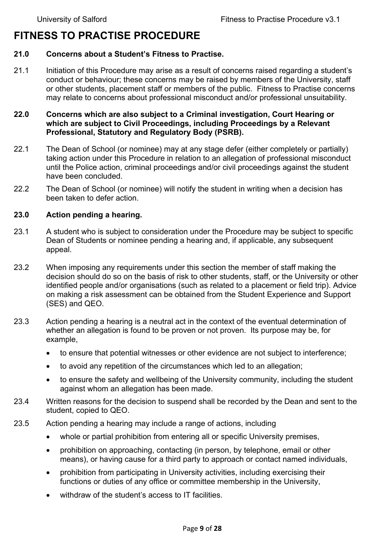# <span id="page-8-0"></span>**FITNESS TO PRACTISE PROCEDURE**

#### <span id="page-8-1"></span>**21.0 Concerns about a Student's Fitness to Practise.**

21.1 Initiation of this Procedure may arise as a result of concerns raised regarding a student's conduct or behaviour; these concerns may be raised by members of the University, staff or other students, placement staff or members of the public. Fitness to Practise concerns may relate to concerns about professional misconduct and/or professional unsuitability.

#### <span id="page-8-2"></span>**22.0 Concerns which are also subject to a Criminal investigation, Court Hearing or which are subject to Civil Proceedings, including Proceedings by a Relevant Professional, Statutory and Regulatory Body (PSRB).**

- 22.1 The Dean of School (or nominee) may at any stage defer (either completely or partially) taking action under this Procedure in relation to an allegation of professional misconduct until the Police action, criminal proceedings and/or civil proceedings against the student have been concluded.
- 22.2 The Dean of School (or nominee) will notify the student in writing when a decision has been taken to defer action.

#### <span id="page-8-3"></span>**23.0 Action pending a hearing.**

- 23.1 A student who is subject to consideration under the Procedure may be subject to specific Dean of Students or nominee pending a hearing and, if applicable, any subsequent appeal.
- 23.2 When imposing any requirements under this section the member of staff making the decision should do so on the basis of risk to other students, staff, or the University or other identified people and/or organisations (such as related to a placement or field trip). Advice on making a risk assessment can be obtained from the Student Experience and Support (SES) and QEO.
- 23.3 Action pending a hearing is a neutral act in the context of the eventual determination of whether an allegation is found to be proven or not proven. Its purpose may be, for example,
	- to ensure that potential witnesses or other evidence are not subject to interference;
	- to avoid any repetition of the circumstances which led to an allegation;
	- to ensure the safety and wellbeing of the University community, including the student against whom an allegation has been made.
- 23.4 Written reasons for the decision to suspend shall be recorded by the Dean and sent to the student, copied to QEO.
- 23.5 Action pending a hearing may include a range of actions, including
	- whole or partial prohibition from entering all or specific University premises,
	- prohibition on approaching, contacting (in person, by telephone, email or other means), or having cause for a third party to approach or contact named individuals,
	- prohibition from participating in University activities, including exercising their functions or duties of any office or committee membership in the University,
	- withdraw of the student's access to IT facilities.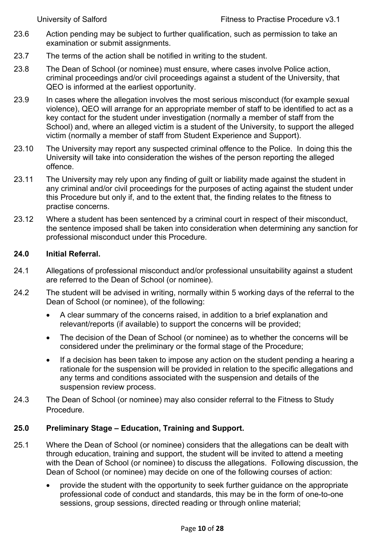- 23.6 Action pending may be subject to further qualification, such as permission to take an examination or submit assignments.
- 23.7 The terms of the action shall be notified in writing to the student.
- 23.8 The Dean of School (or nominee) must ensure, where cases involve Police action, criminal proceedings and/or civil proceedings against a student of the University, that QEO is informed at the earliest opportunity.
- 23.9 In cases where the allegation involves the most serious misconduct (for example sexual violence), QEO will arrange for an appropriate member of staff to be identified to act as a key contact for the student under investigation (normally a member of staff from the School) and, where an alleged victim is a student of the University, to support the alleged victim (normally a member of staff from Student Experience and Support).
- 23.10 The University may report any suspected criminal offence to the Police. In doing this the University will take into consideration the wishes of the person reporting the alleged offence.
- 23.11 The University may rely upon any finding of guilt or liability made against the student in any criminal and/or civil proceedings for the purposes of acting against the student under this Procedure but only if, and to the extent that, the finding relates to the fitness to practise concerns.
- 23.12 Where a student has been sentenced by a criminal court in respect of their misconduct, the sentence imposed shall be taken into consideration when determining any sanction for professional misconduct under this Procedure.

# <span id="page-9-0"></span>**24.0 Initial Referral.**

- 24.1 Allegations of professional misconduct and/or professional unsuitability against a student are referred to the Dean of School (or nominee).
- 24.2 The student will be advised in writing, normally within 5 working days of the referral to the Dean of School (or nominee), of the following:
	- A clear summary of the concerns raised, in addition to a brief explanation and relevant/reports (if available) to support the concerns will be provided;
	- The decision of the Dean of School (or nominee) as to whether the concerns will be considered under the preliminary or the formal stage of the Procedure;
	- If a decision has been taken to impose any action on the student pending a hearing a rationale for the suspension will be provided in relation to the specific allegations and any terms and conditions associated with the suspension and details of the suspension review process.
- 24.3 The Dean of School (or nominee) may also consider referral to the Fitness to Study Procedure.

# <span id="page-9-1"></span>**25.0 Preliminary Stage – Education, Training and Support.**

- 25.1 Where the Dean of School (or nominee) considers that the allegations can be dealt with through education, training and support, the student will be invited to attend a meeting with the Dean of School (or nominee) to discuss the allegations. Following discussion, the Dean of School (or nominee) may decide on one of the following courses of action:
	- provide the student with the opportunity to seek further guidance on the appropriate professional code of conduct and standards, this may be in the form of one-to-one sessions, group sessions, directed reading or through online material;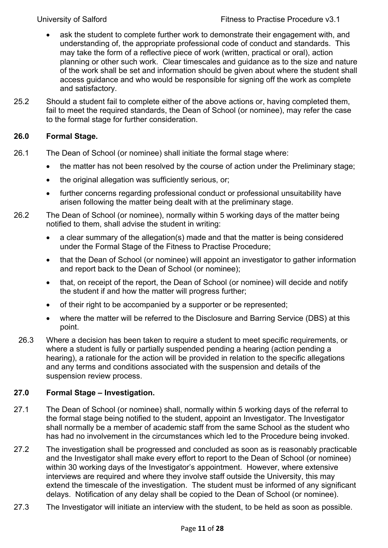- ask the student to complete further work to demonstrate their engagement with, and understanding of, the appropriate professional code of conduct and standards. This may take the form of a reflective piece of work (written, practical or oral), action planning or other such work. Clear timescales and guidance as to the size and nature of the work shall be set and information should be given about where the student shall access guidance and who would be responsible for signing off the work as complete and satisfactory.
- 25.2 Should a student fail to complete either of the above actions or, having completed them, fail to meet the required standards, the Dean of School (or nominee), may refer the case to the formal stage for further consideration.

# <span id="page-10-0"></span>**26.0 Formal Stage.**

- 26.1 The Dean of School (or nominee) shall initiate the formal stage where:
	- the matter has not been resolved by the course of action under the Preliminary stage;
	- the original allegation was sufficiently serious, or;
	- further concerns regarding professional conduct or professional unsuitability have arisen following the matter being dealt with at the preliminary stage.
- 26.2 The Dean of School (or nominee), normally within 5 working days of the matter being notified to them, shall advise the student in writing:
	- a clear summary of the allegation(s) made and that the matter is being considered under the Formal Stage of the Fitness to Practise Procedure;
	- that the Dean of School (or nominee) will appoint an investigator to gather information and report back to the Dean of School (or nominee);
	- that, on receipt of the report, the Dean of School (or nominee) will decide and notify the student if and how the matter will progress further;
	- of their right to be accompanied by a supporter or be represented;
	- where the matter will be referred to the Disclosure and Barring Service (DBS) at this point.
- 26.3 Where a decision has been taken to require a student to meet specific requirements, or where a student is fully or partially suspended pending a hearing (action pending a hearing), a rationale for the action will be provided in relation to the specific allegations and any terms and conditions associated with the suspension and details of the suspension review process.

# <span id="page-10-1"></span>**27.0 Formal Stage – Investigation.**

- 27.1 The Dean of School (or nominee) shall, normally within 5 working days of the referral to the formal stage being notified to the student, appoint an Investigator. The Investigator shall normally be a member of academic staff from the same School as the student who has had no involvement in the circumstances which led to the Procedure being invoked.
- 27.2 The investigation shall be progressed and concluded as soon as is reasonably practicable and the Investigator shall make every effort to report to the Dean of School (or nominee) within 30 working days of the Investigator's appointment. However, where extensive interviews are required and where they involve staff outside the University, this may extend the timescale of the investigation. The student must be informed of any significant delays. Notification of any delay shall be copied to the Dean of School (or nominee).
- 27.3 The Investigator will initiate an interview with the student, to be held as soon as possible.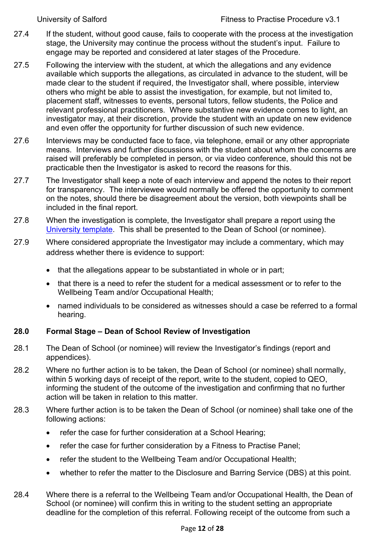- 27.4 If the student, without good cause, fails to cooperate with the process at the investigation stage, the University may continue the process without the student's input. Failure to engage may be reported and considered at later stages of the Procedure.
- 27.5 Following the interview with the student, at which the allegations and any evidence available which supports the allegations, as circulated in advance to the student, will be made clear to the student if required, the Investigator shall, where possible, interview others who might be able to assist the investigation, for example, but not limited to, placement staff, witnesses to events, personal tutors, fellow students, the Police and relevant professional practitioners. Where substantive new evidence comes to light, an investigator may, at their discretion, provide the student with an update on new evidence and even offer the opportunity for further discussion of such new evidence.
- 27.6 Interviews may be conducted face to face, via telephone, email or any other appropriate means. Interviews and further discussions with the student about whom the concerns are raised will preferably be completed in person, or via video conference, should this not be practicable then the Investigator is asked to record the reasons for this.
- 27.7 The Investigator shall keep a note of each interview and append the notes to their report for transparency. The interviewee would normally be offered the opportunity to comment on the notes, should there be disagreement about the version, both viewpoints shall be included in the final report.
- 27.8 When the investigation is complete, the Investigator shall prepare a report using the [University template.](https://testlivesalfordac.sharepoint.com/sites/QEO/SitePages/StudentFacingPolicies.aspx) This shall be presented to the Dean of School (or nominee).
- 27.9 Where considered appropriate the Investigator may include a commentary, which may address whether there is evidence to support:
	- that the allegations appear to be substantiated in whole or in part;
	- that there is a need to refer the student for a medical assessment or to refer to the Wellbeing Team and/or Occupational Health;
	- named individuals to be considered as witnesses should a case be referred to a formal hearing.

# <span id="page-11-0"></span>**28.0 Formal Stage – Dean of School Review of Investigation**

- 28.1 The Dean of School (or nominee) will review the Investigator's findings (report and appendices).
- 28.2 Where no further action is to be taken, the Dean of School (or nominee) shall normally, within 5 working days of receipt of the report, write to the student, copied to QEO, informing the student of the outcome of the investigation and confirming that no further action will be taken in relation to this matter.
- 28.3 Where further action is to be taken the Dean of School (or nominee) shall take one of the following actions:
	- refer the case for further consideration at a School Hearing;
	- refer the case for further consideration by a Fitness to Practise Panel;
	- refer the student to the Wellbeing Team and/or Occupational Health;
	- whether to refer the matter to the Disclosure and Barring Service (DBS) at this point.
- 28.4 Where there is a referral to the Wellbeing Team and/or Occupational Health, the Dean of School (or nominee) will confirm this in writing to the student setting an appropriate deadline for the completion of this referral. Following receipt of the outcome from such a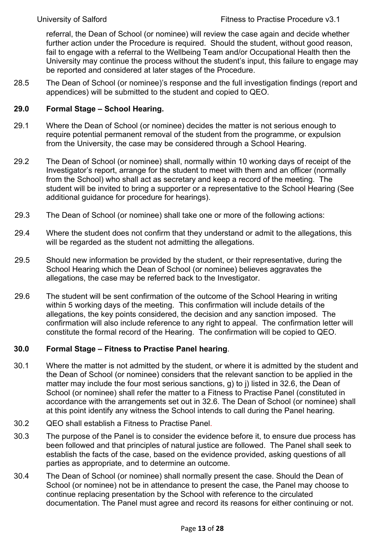referral, the Dean of School (or nominee) will review the case again and decide whether further action under the Procedure is required. Should the student, without good reason, fail to engage with a referral to the Wellbeing Team and/or Occupational Health then the University may continue the process without the student's input, this failure to engage may be reported and considered at later stages of the Procedure.

28.5 The Dean of School (or nominee)'s response and the full investigation findings (report and appendices) will be submitted to the student and copied to QEO.

#### <span id="page-12-0"></span>**29.0 Formal Stage – School Hearing.**

- 29.1 Where the Dean of School (or nominee) decides the matter is not serious enough to require potential permanent removal of the student from the programme, or expulsion from the University, the case may be considered through a School Hearing.
- 29.2 The Dean of School (or nominee) shall, normally within 10 working days of receipt of the Investigator's report, arrange for the student to meet with them and an officer (normally from the School) who shall act as secretary and keep a record of the meeting. The student will be invited to bring a supporter or a representative to the School Hearing (See additional guidance for procedure for hearings).
- 29.3 The Dean of School (or nominee) shall take one or more of the following actions:
- 29.4 Where the student does not confirm that they understand or admit to the allegations, this will be regarded as the student not admitting the allegations.
- 29.5 Should new information be provided by the student, or their representative, during the School Hearing which the Dean of School (or nominee) believes aggravates the allegations, the case may be referred back to the Investigator.
- 29.6 The student will be sent confirmation of the outcome of the School Hearing in writing within 5 working days of the meeting. This confirmation will include details of the allegations, the key points considered, the decision and any sanction imposed. The confirmation will also include reference to any right to appeal. The confirmation letter will constitute the formal record of the Hearing. The confirmation will be copied to QEO.

#### <span id="page-12-1"></span>**30.0 Formal Stage – Fitness to Practise Panel hearing**.

- 30.1 Where the matter is not admitted by the student, or where it is admitted by the student and the Dean of School (or nominee) considers that the relevant sanction to be applied in the matter may include the four most serious sanctions, g) to j) listed in 32.6, the Dean of School (or nominee) shall refer the matter to a Fitness to Practise Panel (constituted in accordance with the arrangements set out in 32.6. The Dean of School (or nominee) shall at this point identify any witness the School intends to call during the Panel hearing.
- 30.2 QEO shall establish a Fitness to Practise Panel.
- 30.3 The purpose of the Panel is to consider the evidence before it, to ensure due process has been followed and that principles of natural justice are followed. The Panel shall seek to establish the facts of the case, based on the evidence provided, asking questions of all parties as appropriate, and to determine an outcome.
- 30.4 The Dean of School (or nominee) shall normally present the case. Should the Dean of School (or nominee) not be in attendance to present the case, the Panel may choose to continue replacing presentation by the School with reference to the circulated documentation. The Panel must agree and record its reasons for either continuing or not.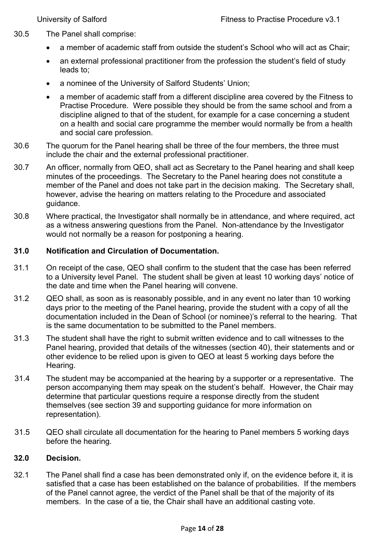- 30.5 The Panel shall comprise:
	- a member of academic staff from outside the student's School who will act as Chair;
	- an external professional practitioner from the profession the student's field of study leads to;
	- a nominee of the University of Salford Students' Union:
	- a member of academic staff from a different discipline area covered by the Fitness to Practise Procedure. Were possible they should be from the same school and from a discipline aligned to that of the student, for example for a case concerning a student on a health and social care programme the member would normally be from a health and social care profession.
- 30.6 The quorum for the Panel hearing shall be three of the four members, the three must include the chair and the external professional practitioner.
- 30.7 An officer, normally from QEO, shall act as Secretary to the Panel hearing and shall keep minutes of the proceedings. The Secretary to the Panel hearing does not constitute a member of the Panel and does not take part in the decision making. The Secretary shall, however, advise the hearing on matters relating to the Procedure and associated guidance.
- 30.8 Where practical, the Investigator shall normally be in attendance, and where required, act as a witness answering questions from the Panel. Non-attendance by the Investigator would not normally be a reason for postponing a hearing.

# <span id="page-13-0"></span>**31.0 Notification and Circulation of Documentation.**

- 31.1 On receipt of the case, QEO shall confirm to the student that the case has been referred to a University level Panel. The student shall be given at least 10 working days' notice of the date and time when the Panel hearing will convene.
- 31.2 QEO shall, as soon as is reasonably possible, and in any event no later than 10 working days prior to the meeting of the Panel hearing, provide the student with a copy of all the documentation included in the Dean of School (or nominee)'s referral to the hearing. That is the same documentation to be submitted to the Panel members.
- 31.3 The student shall have the right to submit written evidence and to call witnesses to the Panel hearing, provided that details of the witnesses (section 40), their statements and or other evidence to be relied upon is given to QEO at least 5 working days before the Hearing.
- 31.4 The student may be accompanied at the hearing by a supporter or a representative. The person accompanying them may speak on the student's behalf. However, the Chair may determine that particular questions require a response directly from the student themselves (see section 39 and supporting guidance for more information on representation).
- 31.5 QEO shall circulate all documentation for the hearing to Panel members 5 working days before the hearing.

# <span id="page-13-1"></span>**32.0 Decision.**

32.1 The Panel shall find a case has been demonstrated only if, on the evidence before it, it is satisfied that a case has been established on the balance of probabilities. If the members of the Panel cannot agree, the verdict of the Panel shall be that of the majority of its members. In the case of a tie, the Chair shall have an additional casting vote.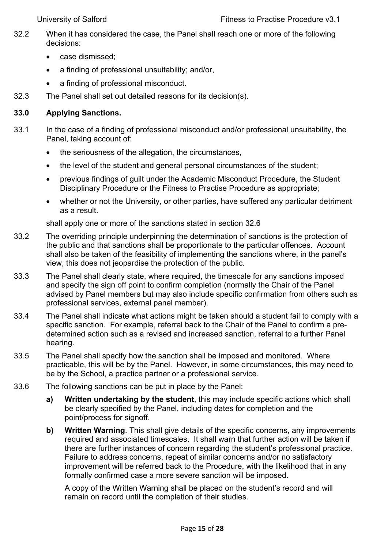- 32.2 When it has considered the case, the Panel shall reach one or more of the following decisions:
	- case dismissed:
	- a finding of professional unsuitability; and/or,
	- a finding of professional misconduct.
- 32.3 The Panel shall set out detailed reasons for its decision(s).

# <span id="page-14-0"></span>**33.0 Applying Sanctions.**

- 33.1 In the case of a finding of professional misconduct and/or professional unsuitability, the Panel, taking account of:
	- the seriousness of the allegation, the circumstances,
	- the level of the student and general personal circumstances of the student;
	- previous findings of guilt under the Academic Misconduct Procedure, the Student Disciplinary Procedure or the Fitness to Practise Procedure as appropriate;
	- whether or not the University, or other parties, have suffered any particular detriment as a result.

shall apply one or more of the sanctions stated in section 32.6

- 33.2 The overriding principle underpinning the determination of sanctions is the protection of the public and that sanctions shall be proportionate to the particular offences. Account shall also be taken of the feasibility of implementing the sanctions where, in the panel's view, this does not jeopardise the protection of the public.
- 33.3 The Panel shall clearly state, where required, the timescale for any sanctions imposed and specify the sign off point to confirm completion (normally the Chair of the Panel advised by Panel members but may also include specific confirmation from others such as professional services, external panel member).
- 33.4 The Panel shall indicate what actions might be taken should a student fail to comply with a specific sanction. For example, referral back to the Chair of the Panel to confirm a predetermined action such as a revised and increased sanction, referral to a further Panel hearing.
- 33.5 The Panel shall specify how the sanction shall be imposed and monitored. Where practicable, this will be by the Panel. However, in some circumstances, this may need to be by the School, a practice partner or a professional service.
- 33.6 The following sanctions can be put in place by the Panel:
	- **a) Written undertaking by the student**, this may include specific actions which shall be clearly specified by the Panel, including dates for completion and the point/process for signoff.
	- **b) Written Warning**. This shall give details of the specific concerns, any improvements required and associated timescales. It shall warn that further action will be taken if there are further instances of concern regarding the student's professional practice. Failure to address concerns, repeat of similar concerns and/or no satisfactory improvement will be referred back to the Procedure, with the likelihood that in any formally confirmed case a more severe sanction will be imposed.

A copy of the Written Warning shall be placed on the student's record and will remain on record until the completion of their studies.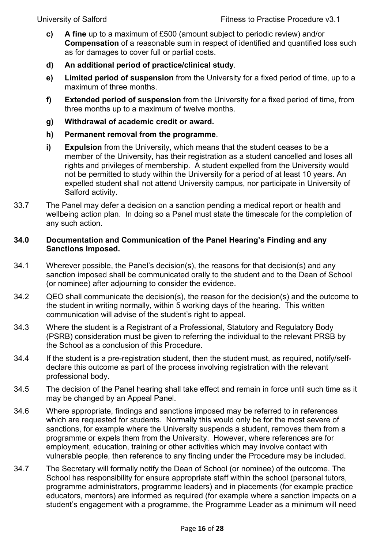- **c) A fine** up to a maximum of £500 (amount subject to periodic review) and/or **Compensation** of a reasonable sum in respect of identified and quantified loss such as for damages to cover full or partial costs.
- **d) An additional period of practice/clinical study**.
- **e) Limited period of suspension** from the University for a fixed period of time, up to a maximum of three months.
- **f) Extended period of suspension** from the University for a fixed period of time, from three months up to a maximum of twelve months.
- **g) Withdrawal of academic credit or award.**
- **h) Permanent removal from the programme**.
- **i) Expulsion** from the University, which means that the student ceases to be a member of the University, has their registration as a student cancelled and loses all rights and privileges of membership. A student expelled from the University would not be permitted to study within the University for a period of at least 10 years. An expelled student shall not attend University campus, nor participate in University of Salford activity.
- 33.7 The Panel may defer a decision on a sanction pending a medical report or health and wellbeing action plan. In doing so a Panel must state the timescale for the completion of any such action.

# <span id="page-15-0"></span>**34.0 Documentation and Communication of the Panel Hearing's Finding and any Sanctions Imposed.**

- 34.1 Wherever possible, the Panel's decision(s), the reasons for that decision(s) and any sanction imposed shall be communicated orally to the student and to the Dean of School (or nominee) after adjourning to consider the evidence.
- 34.2 QEO shall communicate the decision(s), the reason for the decision(s) and the outcome to the student in writing normally, within 5 working days of the hearing. This written communication will advise of the student's right to appeal.
- 34.3 Where the student is a Registrant of a Professional, Statutory and Regulatory Body (PSRB) consideration must be given to referring the individual to the relevant PRSB by the School as a conclusion of this Procedure.
- 34.4 If the student is a pre-registration student, then the student must, as required, notify/selfdeclare this outcome as part of the process involving registration with the relevant professional body.
- 34.5 The decision of the Panel hearing shall take effect and remain in force until such time as it may be changed by an Appeal Panel.
- 34.6 Where appropriate, findings and sanctions imposed may be referred to in references which are requested for students. Normally this would only be for the most severe of sanctions, for example where the University suspends a student, removes them from a programme or expels them from the University. However, where references are for employment, education, training or other activities which may involve contact with vulnerable people, then reference to any finding under the Procedure may be included.
- 34.7 The Secretary will formally notify the Dean of School (or nominee) of the outcome. The School has responsibility for ensure appropriate staff within the school (personal tutors, programme administrators, programme leaders) and in placements (for example practice educators, mentors) are informed as required (for example where a sanction impacts on a student's engagement with a programme, the Programme Leader as a minimum will need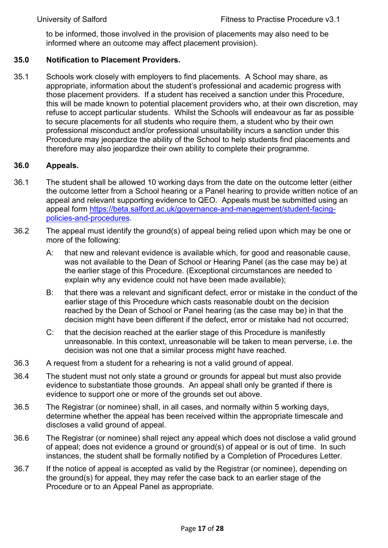<span id="page-16-0"></span>to be informed, those involved in the provision of placements may also need to be informed where an outcome may affect placement provision).

#### **35.0 Notification to Placement Providers.**

35.1 Schools work closely with employers to find placements. A School may share, as appropriate, information about the student's professional and academic progress with those placement providers. If a student has received a sanction under this Procedure, this will be made known to potential placement providers who, at their own discretion, may refuse to accept particular students. Whilst the Schools will endeavour as far as possible to secure placements for all students who require them, a student who by their own professional misconduct and/or professional unsuitability incurs a sanction under this Procedure may jeopardize the ability of the School to help students find placements and therefore may also jeopardize their own ability to complete their programme.

#### <span id="page-16-1"></span>**36.0 Appeals.**

- 36.1 The student shall be allowed 10 working days from the date on the outcome letter (either the outcome letter from a School hearing or a Panel hearing to provide written notice of an appeal and relevant supporting evidence to QEO. Appeals must be submitted using an appeal form [https://beta.salford.ac.uk/governance-and-management/student-facing](https://beta.salford.ac.uk/governance-and-management/student-facing-policies-and-procedures)[policies-and-procedures.](https://beta.salford.ac.uk/governance-and-management/student-facing-policies-and-procedures)
- 36.2 The appeal must identify the ground(s) of appeal being relied upon which may be one or more of the following:
	- A: that new and relevant evidence is available which, for good and reasonable cause, was not available to the Dean of School or Hearing Panel (as the case may be) at the earlier stage of this Procedure. (Exceptional circumstances are needed to explain why any evidence could not have been made available);
	- B: that there was a relevant and significant defect, error or mistake in the conduct of the earlier stage of this Procedure which casts reasonable doubt on the decision reached by the Dean of School or Panel hearing (as the case may be) in that the decision might have been different if the defect, error or mistake had not occurred;
	- C: that the decision reached at the earlier stage of this Procedure is manifestly unreasonable. In this context, unreasonable will be taken to mean perverse, i.e. the decision was not one that a similar process might have reached.
- 36.3 A request from a student for a rehearing is not a valid ground of appeal.
- 36.4 The student must not only state a ground or grounds for appeal but must also provide evidence to substantiate those grounds. An appeal shall only be granted if there is evidence to support one or more of the grounds set out above.
- 36.5 The Registrar (or nominee) shall, in all cases, and normally within 5 working days, determine whether the appeal has been received within the appropriate timescale and discloses a valid ground of appeal.
- 36.6 The Registrar (or nominee) shall reject any appeal which does not disclose a valid ground of appeal; does not evidence a ground or ground(s) of appeal or is out of time. In such instances, the student shall be formally notified by a Completion of Procedures Letter.
- 36.7 If the notice of appeal is accepted as valid by the Registrar (or nominee), depending on the ground(s) for appeal, they may refer the case back to an earlier stage of the Procedure or to an Appeal Panel as appropriate.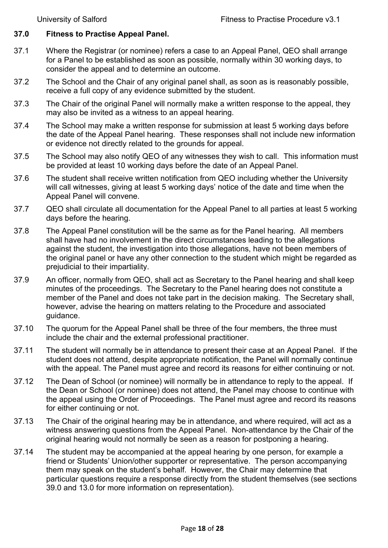# <span id="page-17-0"></span>**37.0 Fitness to Practise Appeal Panel.**

- 37.1 Where the Registrar (or nominee) refers a case to an Appeal Panel, QEO shall arrange for a Panel to be established as soon as possible, normally within 30 working days, to consider the appeal and to determine an outcome.
- 37.2 The School and the Chair of any original panel shall, as soon as is reasonably possible, receive a full copy of any evidence submitted by the student.
- 37.3 The Chair of the original Panel will normally make a written response to the appeal, they may also be invited as a witness to an appeal hearing.
- 37.4 The School may make a written response for submission at least 5 working days before the date of the Appeal Panel hearing. These responses shall not include new information or evidence not directly related to the grounds for appeal.
- 37.5 The School may also notify QEO of any witnesses they wish to call. This information must be provided at least 10 working days before the date of an Appeal Panel.
- 37.6 The student shall receive written notification from QEO including whether the University will call witnesses, giving at least 5 working days' notice of the date and time when the Appeal Panel will convene.
- 37.7 QEO shall circulate all documentation for the Appeal Panel to all parties at least 5 working days before the hearing.
- 37.8 The Appeal Panel constitution will be the same as for the Panel hearing. All members shall have had no involvement in the direct circumstances leading to the allegations against the student, the investigation into those allegations, have not been members of the original panel or have any other connection to the student which might be regarded as prejudicial to their impartiality.
- 37.9 An officer, normally from QEO, shall act as Secretary to the Panel hearing and shall keep minutes of the proceedings. The Secretary to the Panel hearing does not constitute a member of the Panel and does not take part in the decision making. The Secretary shall, however, advise the hearing on matters relating to the Procedure and associated guidance.
- 37.10 The quorum for the Appeal Panel shall be three of the four members, the three must include the chair and the external professional practitioner.
- 37.11 The student will normally be in attendance to present their case at an Appeal Panel. If the student does not attend, despite appropriate notification, the Panel will normally continue with the appeal. The Panel must agree and record its reasons for either continuing or not.
- 37.12 The Dean of School (or nominee) will normally be in attendance to reply to the appeal. If the Dean or School (or nominee) does not attend, the Panel may choose to continue with the appeal using the Order of Proceedings. The Panel must agree and record its reasons for either continuing or not.
- 37.13 The Chair of the original hearing may be in attendance, and where required, will act as a witness answering questions from the Appeal Panel. Non-attendance by the Chair of the original hearing would not normally be seen as a reason for postponing a hearing.
- 37.14 The student may be accompanied at the appeal hearing by one person, for example a friend or Students' Union/other supporter or representative. The person accompanying them may speak on the student's behalf. However, the Chair may determine that particular questions require a response directly from the student themselves (see sections 39.0 and 13.0 for more information on representation).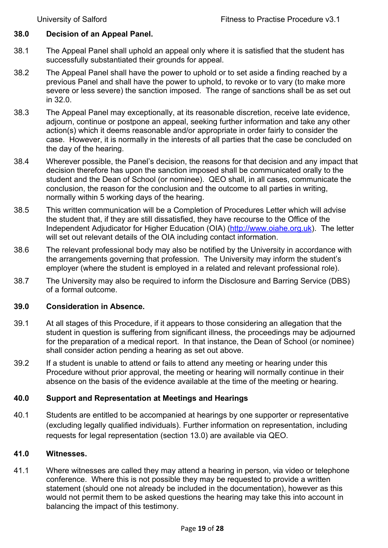#### <span id="page-18-0"></span>**38.0 Decision of an Appeal Panel.**

- 38.1 The Appeal Panel shall uphold an appeal only where it is satisfied that the student has successfully substantiated their grounds for appeal.
- 38.2 The Appeal Panel shall have the power to uphold or to set aside a finding reached by a previous Panel and shall have the power to uphold, to revoke or to vary (to make more severe or less severe) the sanction imposed. The range of sanctions shall be as set out in 32.0.
- 38.3 The Appeal Panel may exceptionally, at its reasonable discretion, receive late evidence, adjourn, continue or postpone an appeal, seeking further information and take any other action(s) which it deems reasonable and/or appropriate in order fairly to consider the case. However, it is normally in the interests of all parties that the case be concluded on the day of the hearing.
- 38.4 Wherever possible, the Panel's decision, the reasons for that decision and any impact that decision therefore has upon the sanction imposed shall be communicated orally to the student and the Dean of School (or nominee). QEO shall, in all cases, communicate the conclusion, the reason for the conclusion and the outcome to all parties in writing, normally within 5 working days of the hearing.
- 38.5 This written communication will be a Completion of Procedures Letter which will advise the student that, if they are still dissatisfied, they have recourse to the Office of the Independent Adjudicator for Higher Education (OIA) [\(http://www.oiahe.org.uk\)](http://www.oiahe.org.uk/). The letter will set out relevant details of the OIA including contact information.
- 38.6 The relevant professional body may also be notified by the University in accordance with the arrangements governing that profession. The University may inform the student's employer (where the student is employed in a related and relevant professional role).
- 38.7 The University may also be required to inform the Disclosure and Barring Service (DBS) of a formal outcome.

#### <span id="page-18-1"></span>**39.0 Consideration in Absence.**

- 39.1 At all stages of this Procedure, if it appears to those considering an allegation that the student in question is suffering from significant illness, the proceedings may be adjourned for the preparation of a medical report. In that instance, the Dean of School (or nominee) shall consider action pending a hearing as set out above.
- 39.2 If a student is unable to attend or fails to attend any meeting or hearing under this Procedure without prior approval, the meeting or hearing will normally continue in their absence on the basis of the evidence available at the time of the meeting or hearing.

#### <span id="page-18-2"></span>**40.0 Support and Representation at Meetings and Hearings**

40.1 Students are entitled to be accompanied at hearings by one supporter or representative (excluding legally qualified individuals). Further information on representation, including requests for legal representation (section 13.0) are available via QEO.

#### <span id="page-18-3"></span>**41.0 Witnesses.**

41.1 Where witnesses are called they may attend a hearing in person, via video or telephone conference. Where this is not possible they may be requested to provide a written statement (should one not already be included in the documentation), however as this would not permit them to be asked questions the hearing may take this into account in balancing the impact of this testimony.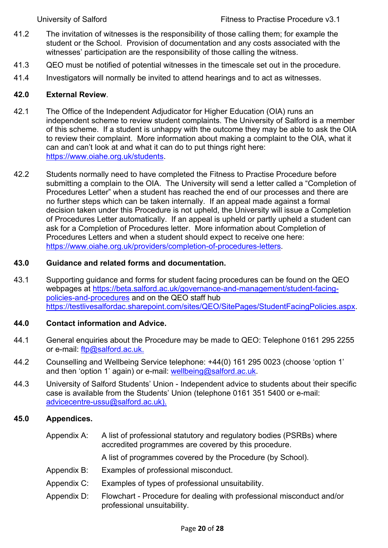- 41.2 The invitation of witnesses is the responsibility of those calling them; for example the student or the School. Provision of documentation and any costs associated with the witnesses' participation are the responsibility of those calling the witness.
- 41.3 QEO must be notified of potential witnesses in the timescale set out in the procedure.
- 41.4 Investigators will normally be invited to attend hearings and to act as witnesses.

# <span id="page-19-0"></span>**42.0 External Review**.

- 42.1 The Office of the Independent Adjudicator for Higher Education (OIA) runs an independent scheme to review student complaints. The University of Salford is a member of this scheme. If a student is unhappy with the outcome they may be able to ask the OIA to review their complaint. More information about making a complaint to the OIA, what it can and can't look at and what it can do to put things right here: [https://www.oiahe.org.uk/students.](https://www.oiahe.org.uk/students)
- 42.2 Students normally need to have completed the Fitness to Practise Procedure before submitting a complain to the OIA. The University will send a letter called a "Completion of Procedures Letter" when a student has reached the end of our processes and there are no further steps which can be taken internally. If an appeal made against a formal decision taken under this Procedure is not upheld, the University will issue a Completion of Procedures Letter automatically. If an appeal is upheld or partly upheld a student can ask for a Completion of Procedures letter. More information about Completion of Procedures Letters and when a student should expect to receive one here: [https://www.oiahe.org.uk/providers/completion-of-procedures-letters.](https://www.oiahe.org.uk/providers/completion-of-procedures-letters)

# <span id="page-19-1"></span>**43.0 Guidance and related forms and documentation.**

43.1 Supporting guidance and forms for student facing procedures can be found on the QEO webpages at [https://beta.salford.ac.uk/governance-and-management/student-facing](https://beta.salford.ac.uk/governance-and-management/student-facing-policies-and-procedures)[policies-and-procedures](https://beta.salford.ac.uk/governance-and-management/student-facing-policies-and-procedures) and on the QEO staff hub [https://testlivesalfordac.sharepoint.com/sites/QEO/SitePages/StudentFacingPolicies.aspx.](https://testlivesalfordac.sharepoint.com/sites/QEO/SitePages/StudentFacingPolicies.aspx)

# <span id="page-19-2"></span>**44.0 Contact information and Advice.**

- 44.1 General enquiries about the Procedure may be made to QEO: Telephone 0161 295 2255 or e-mail: [ftp@salford.ac.uk.](mailto:ftp@salford.ac.uk)
- 44.2 Counselling and Wellbeing Service telephone: +44(0) 161 295 0023 (choose 'option 1' and then 'option 1' again) or e-mail: [wellbeing@salford.ac.uk.](mailto:wellbeing@salford.ac.uk)
- 44.3 University of Salford Students' Union Independent advice to students about their specific case is available from the Students' Union (telephone 0161 351 5400 or e-mail: [advicecentre-ussu@salford.ac.uk\)](mailto:advicecentre-ussu@salford.ac.uk).

# **45.0 Appendices.**

<span id="page-19-3"></span>Appendix A: A list of professional statutory and regulatory bodies (PSRBs) where accredited programmes are covered by this procedure.

A list of programmes covered by the Procedure (by School).

- Appendix B: Examples of professional misconduct.
- Appendix C: Examples of types of professional unsuitability.
- Appendix D: Flowchart Procedure for dealing with professional misconduct and/or professional unsuitability.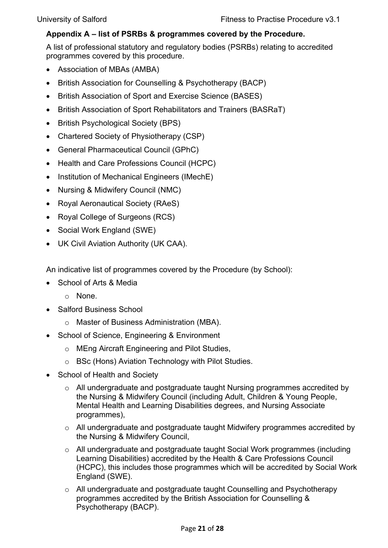# <span id="page-20-0"></span>**Appendix A – list of PSRBs & programmes covered by the Procedure.**

A list of professional statutory and regulatory bodies (PSRBs) relating to accredited programmes covered by this procedure.

- Association of MBAs (AMBA)
- British Association for Counselling & Psychotherapy (BACP)
- British Association of Sport and Exercise Science (BASES)
- British Association of Sport Rehabilitators and Trainers (BASRaT)
- British Psychological Society (BPS)
- Chartered Society of Physiotherapy (CSP)
- General Pharmaceutical Council (GPhC)
- Health and Care Professions Council (HCPC)
- Institution of Mechanical Engineers (IMechE)
- Nursing & Midwifery Council (NMC)
- Royal Aeronautical Society (RAeS)
- Royal College of Surgeons (RCS)
- Social Work England (SWE)
- UK Civil Aviation Authority (UK CAA).

An indicative list of programmes covered by the Procedure (by School):

- School of Arts & Media
	- o None.
- Salford Business School
	- o Master of Business Administration (MBA).
- School of Science, Engineering & Environment
	- o MEng Aircraft Engineering and Pilot Studies,
	- o BSc (Hons) Aviation Technology with Pilot Studies.
- School of Health and Society
	- o All undergraduate and postgraduate taught Nursing programmes accredited by the Nursing & Midwifery Council (including Adult, Children & Young People, Mental Health and Learning Disabilities degrees, and Nursing Associate programmes),
	- o All undergraduate and postgraduate taught Midwifery programmes accredited by the Nursing & Midwifery Council,
	- o All undergraduate and postgraduate taught Social Work programmes (including Learning Disabilities) accredited by the Health & Care Professions Council (HCPC), this includes those programmes which will be accredited by Social Work England (SWE).
	- o All undergraduate and postgraduate taught Counselling and Psychotherapy programmes accredited by the British Association for Counselling & Psychotherapy (BACP).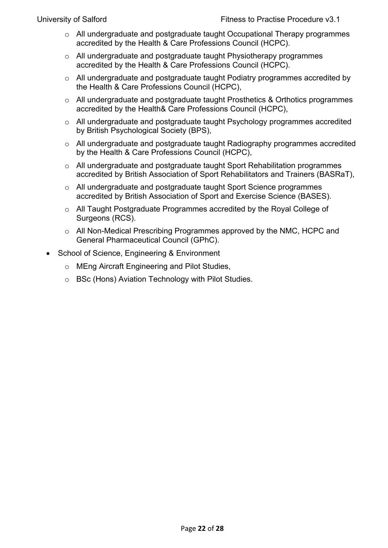- o All undergraduate and postgraduate taught Occupational Therapy programmes accredited by the Health & Care Professions Council (HCPC).
- o All undergraduate and postgraduate taught Physiotherapy programmes accredited by the Health & Care Professions Council (HCPC).
- o All undergraduate and postgraduate taught Podiatry programmes accredited by the Health & Care Professions Council (HCPC),
- o All undergraduate and postgraduate taught Prosthetics & Orthotics programmes accredited by the Health& Care Professions Council (HCPC),
- o All undergraduate and postgraduate taught Psychology programmes accredited by British Psychological Society (BPS),
- o All undergraduate and postgraduate taught Radiography programmes accredited by the Health & Care Professions Council (HCPC),
- o All undergraduate and postgraduate taught Sport Rehabilitation programmes accredited by British Association of Sport Rehabilitators and Trainers (BASRaT),
- o All undergraduate and postgraduate taught Sport Science programmes accredited by British Association of Sport and Exercise Science (BASES).
- o All Taught Postgraduate Programmes accredited by the Royal College of Surgeons (RCS).
- o All Non-Medical Prescribing Programmes approved by the NMC, HCPC and General Pharmaceutical Council (GPhC).
- School of Science, Engineering & Environment
	- o MEng Aircraft Engineering and Pilot Studies,
	- o BSc (Hons) Aviation Technology with Pilot Studies.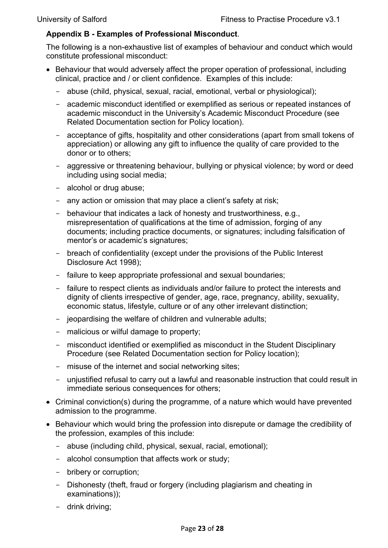# <span id="page-22-0"></span>**Appendix B - Examples of Professional Misconduct**.

The following is a non-exhaustive list of examples of behaviour and conduct which would constitute professional misconduct:

- Behaviour that would adversely affect the proper operation of professional, including clinical, practice and / or client confidence. Examples of this include:
	- abuse (child, physical, sexual, racial, emotional, verbal or physiological);
	- academic misconduct identified or exemplified as serious or repeated instances of academic misconduct in the University's [Academic Misconduct Procedure](http://www.governance.salford.ac.uk/cms/resources/uploads/File/policies/Academic_Misconduct_Procedure%202013-14.docx) (see Related Documentation section for Policy location).
	- acceptance of gifts, hospitality and other considerations (apart from small tokens of appreciation) or allowing any gift to influence the quality of care provided to the donor or to others;
	- aggressive or threatening behaviour, bullying or physical violence; by word or deed including using social media;
	- alcohol or drug abuse;
	- any action or omission that may place a client's safety at risk;
	- behaviour that indicates a lack of honesty and trustworthiness, e.g., misrepresentation of qualifications at the time of admission, forging of any documents; including practice documents, or signatures; including falsification of mentor's or academic's signatures;
	- breach of confidentiality (except under the provisions of the Public Interest Disclosure Act 1998);
	- failure to keep appropriate professional and sexual boundaries;
	- failure to respect clients as individuals and/or failure to protect the interests and dignity of clients irrespective of gender, age, race, pregnancy, ability, sexuality, economic status, lifestyle, culture or of any other irrelevant distinction;
	- jeopardising the welfare of children and vulnerable adults;
	- malicious or wilful damage to property;
	- misconduct identified or exemplified as misconduct in the [Student Disciplinary](http://www.governance.salford.ac.uk/cms/resources/uploads/File/policies/Student_Disciplinary_Procedure%202013-14.docx)  [Procedure](http://www.governance.salford.ac.uk/cms/resources/uploads/File/policies/Student_Disciplinary_Procedure%202013-14.docx) (see Related Documentation section for Policy location);
	- misuse of the internet and social networking sites;
	- unjustified refusal to carry out a lawful and reasonable instruction that could result in immediate serious consequences for others;
- Criminal conviction(s) during the programme, of a nature which would have prevented admission to the programme.
- Behaviour which would bring the profession into disrepute or damage the credibility of the profession, examples of this include:
	- abuse (including child, physical, sexual, racial, emotional);
	- alcohol consumption that affects work or study;
	- bribery or corruption;
	- Dishonesty (theft, fraud or forgery (including plagiarism and cheating in examinations));
	- drink driving;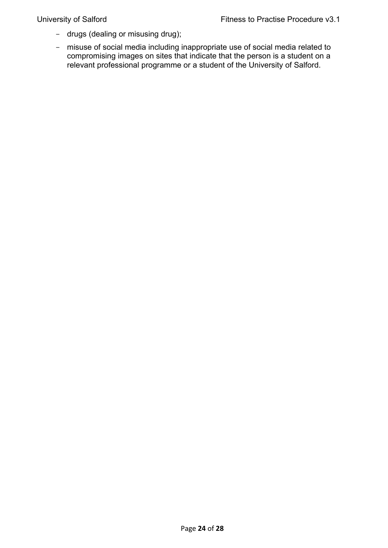- drugs (dealing or misusing drug);
- misuse of social media including inappropriate use of social media related to compromising images on sites that indicate that the person is a student on a relevant professional programme or a student of the University of Salford.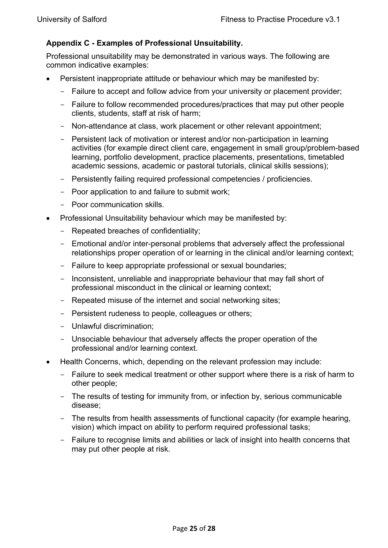# <span id="page-24-0"></span>**Appendix C - Examples of Professional Unsuitability.**

Professional unsuitability may be demonstrated in various ways. The following are common indicative examples:

- Persistent inappropriate attitude or behaviour which may be manifested by:
	- Failure to accept and follow advice from your university or placement provider;
	- Failure to follow recommended procedures/practices that may put other people clients, students, staff at risk of harm;
	- Non-attendance at class, work placement or other relevant appointment;
	- Persistent lack of motivation or interest and/or non-participation in learning activities (for example direct client care, engagement in small group/problem-based learning, portfolio development, practice placements, presentations, timetabled academic sessions, academic or pastoral tutorials, clinical skills sessions);
	- Persistently failing required professional competencies / proficiencies.
	- Poor application to and failure to submit work;
	- Poor communication skills.
- Professional Unsuitability behaviour which may be manifested by:
	- Repeated breaches of confidentiality;
	- Emotional and/or inter-personal problems that adversely affect the professional relationships proper operation of or learning in the clinical and/or learning context;
	- Failure to keep appropriate professional or sexual boundaries;
	- Inconsistent, unreliable and inappropriate behaviour that may fall short of professional misconduct in the clinical or learning context;
	- Repeated misuse of the internet and social networking sites;
	- Persistent rudeness to people, colleagues or others;
	- Unlawful discrimination;
	- Unsociable behaviour that adversely affects the proper operation of the professional and/or learning context.
- Health Concerns, which, depending on the relevant profession may include:
	- Failure to seek medical treatment or other support where there is a risk of harm to other people;
	- The results of testing for immunity from, or infection by, serious communicable disease;
	- The results from health assessments of functional capacity (for example hearing, vision) which impact on ability to perform required professional tasks;
	- Failure to recognise limits and abilities or lack of insight into health concerns that may put other people at risk.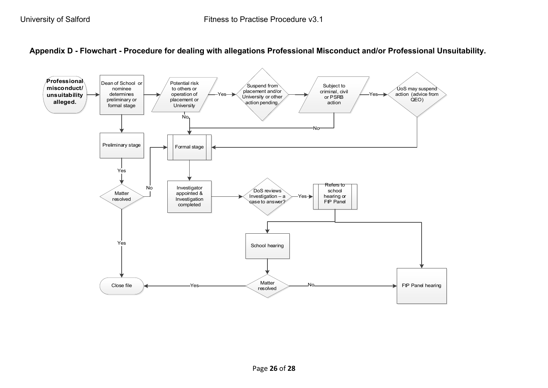

<span id="page-25-0"></span>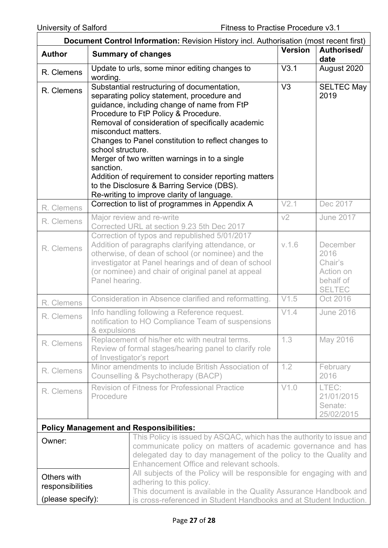| <b>Document Control Information:</b> Revision History incl. Authorisation (most recent first) |                                                                                                                                                                                                                                                                                                                                                                                                                                                                                                                                                             |                |                                                                        |  |  |  |
|-----------------------------------------------------------------------------------------------|-------------------------------------------------------------------------------------------------------------------------------------------------------------------------------------------------------------------------------------------------------------------------------------------------------------------------------------------------------------------------------------------------------------------------------------------------------------------------------------------------------------------------------------------------------------|----------------|------------------------------------------------------------------------|--|--|--|
| <b>Author</b>                                                                                 | <b>Summary of changes</b>                                                                                                                                                                                                                                                                                                                                                                                                                                                                                                                                   | <b>Version</b> | Authorised/<br>date                                                    |  |  |  |
| R. Clemens                                                                                    | Update to urls, some minor editing changes to<br>wording.                                                                                                                                                                                                                                                                                                                                                                                                                                                                                                   | V3.1           | August 2020                                                            |  |  |  |
| R. Clemens                                                                                    | Substantial restructuring of documentation,<br>separating policy statement, procedure and<br>guidance, including change of name from FtP<br>Procedure to FtP Policy & Procedure.<br>Removal of consideration of specifically academic<br>misconduct matters.<br>Changes to Panel constitution to reflect changes to<br>school structure.<br>Merger of two written warnings in to a single<br>sanction.<br>Addition of requirement to consider reporting matters<br>to the Disclosure & Barring Service (DBS).<br>Re-writing to improve clarity of language. | V3             | <b>SELTEC May</b><br>2019                                              |  |  |  |
| R. Clemens                                                                                    | Correction to list of programmes in Appendix A                                                                                                                                                                                                                                                                                                                                                                                                                                                                                                              | V2.1           | Dec 2017                                                               |  |  |  |
| R. Clemens                                                                                    | Major review and re-write<br>Corrected URL at section 9.23 5th Dec 2017                                                                                                                                                                                                                                                                                                                                                                                                                                                                                     | V <sub>2</sub> | <b>June 2017</b>                                                       |  |  |  |
| R. Clemens                                                                                    | Correction of typos and republished 5/01/2017<br>Addition of paragraphs clarifying attendance, or<br>otherwise, of dean of school (or nominee) and the<br>investigator at Panel hearings and of dean of school<br>(or nominee) and chair of original panel at appeal<br>Panel hearing.                                                                                                                                                                                                                                                                      | V.1.6          | December<br>2016<br>Chair's<br>Action on<br>behalf of<br><b>SELTEC</b> |  |  |  |
| R. Clemens                                                                                    | Consideration in Absence clarified and reformatting.                                                                                                                                                                                                                                                                                                                                                                                                                                                                                                        | V1.5           | Oct 2016                                                               |  |  |  |
| R. Clemens                                                                                    | Info handling following a Reference request.<br>notification to HO Compliance Team of suspensions<br>& expulsions                                                                                                                                                                                                                                                                                                                                                                                                                                           | V1.4           | <b>June 2016</b>                                                       |  |  |  |
| R. Clemens                                                                                    | Replacement of his/her etc with neutral terms.<br>Review of formal stages/hearing panel to clarify role<br>of Investigator's report                                                                                                                                                                                                                                                                                                                                                                                                                         | 1.3            | May 2016                                                               |  |  |  |
| R. Clemens                                                                                    | Minor amendments to include British Association of<br>Counselling & Psychotherapy (BACP)                                                                                                                                                                                                                                                                                                                                                                                                                                                                    | 1.2            | February<br>2016                                                       |  |  |  |
| R. Clemens                                                                                    | <b>Revision of Fitness for Professional Practice</b><br>Procedure                                                                                                                                                                                                                                                                                                                                                                                                                                                                                           | V1.0           | LTEC:<br>21/01/2015<br>Senate:<br>25/02/2015                           |  |  |  |
|                                                                                               | <b>Policy Management and Responsibilities:</b>                                                                                                                                                                                                                                                                                                                                                                                                                                                                                                              |                |                                                                        |  |  |  |
| Owner:<br>Others with                                                                         | This Policy is issued by ASQAC, which has the authority to issue and<br>communicate policy on matters of academic governance and has<br>delegated day to day management of the policy to the Quality and<br>Enhancement Office and relevant schools.<br>All subjects of the Policy will be responsible for engaging with and                                                                                                                                                                                                                                |                |                                                                        |  |  |  |
| responsibilities<br>(please specify):                                                         | adhering to this policy.<br>This document is available in the Quality Assurance Handbook and<br>is cross-referenced in Student Handbooks and at Student Induction.                                                                                                                                                                                                                                                                                                                                                                                          |                |                                                                        |  |  |  |